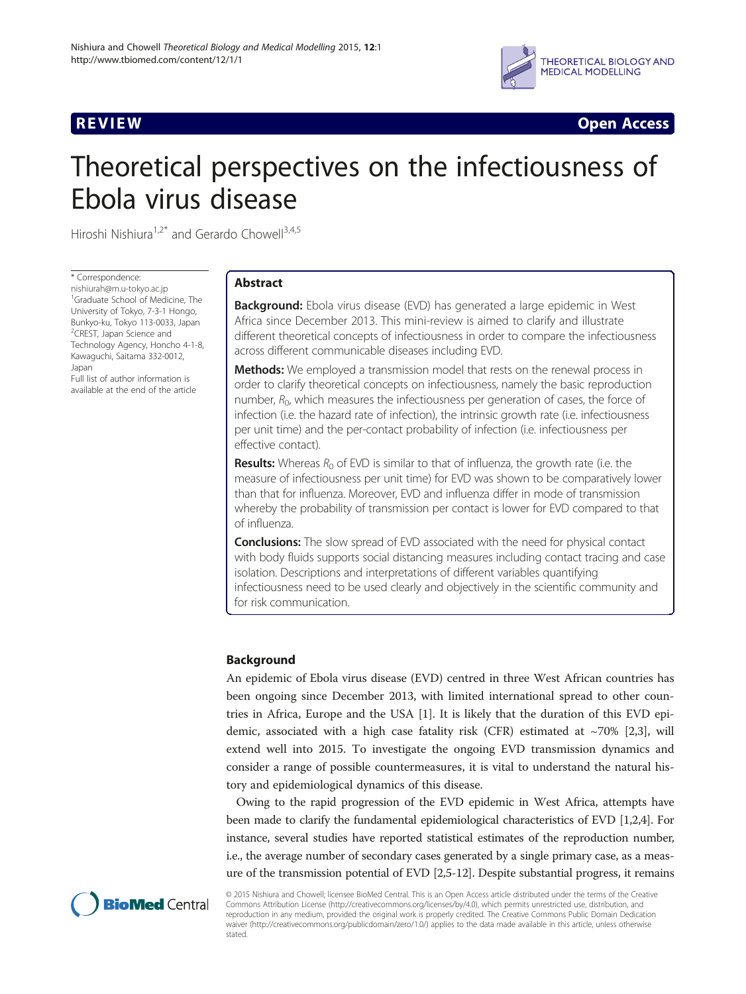



# Theoretical perspectives on the infectiousness of Ebola virus disease

Hiroshi Nishiura<sup>1,2\*</sup> and Gerardo Chowell<sup>3,4,5</sup>

\* Correspondence:

[nishiurah@m.u-tokyo.ac.jp](mailto:nishiurah@m.u-tokyo.ac.jp) <sup>1</sup>Graduate School of Medicine, The University of Tokyo, 7-3-1 Hongo, Bunkyo-ku, Tokyo 113-0033, Japan <sup>2</sup>CREST, Japan Science and Technology Agency, Honcho 4-1-8, Kawaguchi, Saitama 332-0012, Japan

Full list of author information is available at the end of the article

# Abstract

**Background:** Ebola virus disease (EVD) has generated a large epidemic in West Africa since December 2013. This mini-review is aimed to clarify and illustrate different theoretical concepts of infectiousness in order to compare the infectiousness across different communicable diseases including EVD.

**Methods:** We employed a transmission model that rests on the renewal process in order to clarify theoretical concepts on infectiousness, namely the basic reproduction number,  $R_0$ , which measures the infectiousness per generation of cases, the force of infection (i.e. the hazard rate of infection), the intrinsic growth rate (i.e. infectiousness per unit time) and the per-contact probability of infection (i.e. infectiousness per effective contact).

**Results:** Whereas  $R_0$  of EVD is similar to that of influenza, the growth rate (i.e. the measure of infectiousness per unit time) for EVD was shown to be comparatively lower than that for influenza. Moreover, EVD and influenza differ in mode of transmission whereby the probability of transmission per contact is lower for EVD compared to that of influenza.

**Conclusions:** The slow spread of EVD associated with the need for physical contact with body fluids supports social distancing measures including contact tracing and case isolation. Descriptions and interpretations of different variables quantifying infectiousness need to be used clearly and objectively in the scientific community and for risk communication.

# Background

An epidemic of Ebola virus disease (EVD) centred in three West African countries has been ongoing since December 2013, with limited international spread to other countries in Africa, Europe and the USA [\[1](#page-6-0)]. It is likely that the duration of this EVD epidemic, associated with a high case fatality risk (CFR) estimated at  $~270\%$  [\[2,3\]](#page-6-0), will extend well into 2015. To investigate the ongoing EVD transmission dynamics and consider a range of possible countermeasures, it is vital to understand the natural history and epidemiological dynamics of this disease.

Owing to the rapid progression of the EVD epidemic in West Africa, attempts have been made to clarify the fundamental epidemiological characteristics of EVD [\[1,2,4](#page-6-0)]. For instance, several studies have reported statistical estimates of the reproduction number, i.e., the average number of secondary cases generated by a single primary case, as a measure of the transmission potential of EVD [\[2,5-12\]](#page-6-0). Despite substantial progress, it remains



© 2015 Nishiura and Chowell; licensee BioMed Central. This is an Open Access article distributed under the terms of the Creative Commons Attribution License [\(http://creativecommons.org/licenses/by/4.0\)](http://creativecommons.org/licenses/by/4.0), which permits unrestricted use, distribution, and reproduction in any medium, provided the original work is properly credited. The Creative Commons Public Domain Dedication waiver [\(http://creativecommons.org/publicdomain/zero/1.0/\)](http://creativecommons.org/publicdomain/zero/1.0/) applies to the data made available in this article, unless otherwise stated.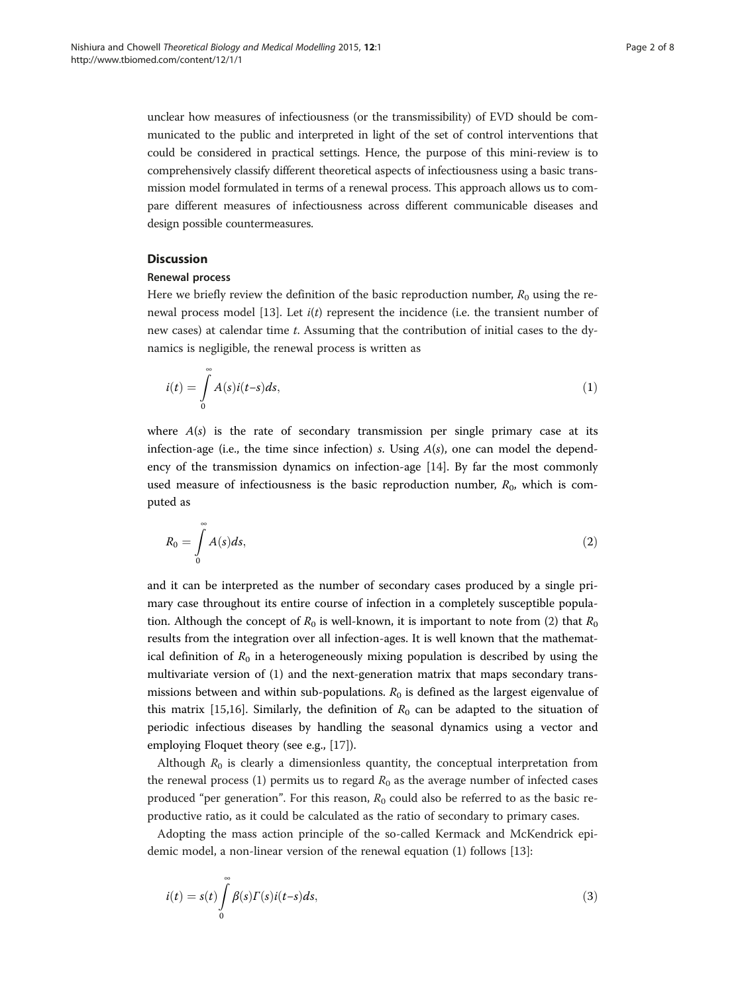<span id="page-1-0"></span>unclear how measures of infectiousness (or the transmissibility) of EVD should be communicated to the public and interpreted in light of the set of control interventions that could be considered in practical settings. Hence, the purpose of this mini-review is to comprehensively classify different theoretical aspects of infectiousness using a basic transmission model formulated in terms of a renewal process. This approach allows us to compare different measures of infectiousness across different communicable diseases and design possible countermeasures.

# **Discussion**

# Renewal process

Here we briefly review the definition of the basic reproduction number,  $R_0$  using the re-newal process model [\[13](#page-6-0)]. Let  $i(t)$  represent the incidence (i.e. the transient number of new cases) at calendar time t. Assuming that the contribution of initial cases to the dynamics is negligible, the renewal process is written as

$$
i(t) = \int_{0}^{\infty} A(s)i(t-s)ds,
$$
\n(1)

where  $A(s)$  is the rate of secondary transmission per single primary case at its infection-age (i.e., the time since infection) s. Using  $A(s)$ , one can model the dependency of the transmission dynamics on infection-age [[14](#page-6-0)]. By far the most commonly used measure of infectiousness is the basic reproduction number,  $R_0$ , which is computed as

$$
R_0 = \int\limits_0^\infty A(s)ds,\tag{2}
$$

and it can be interpreted as the number of secondary cases produced by a single primary case throughout its entire course of infection in a completely susceptible population. Although the concept of  $R_0$  is well-known, it is important to note from (2) that  $R_0$ results from the integration over all infection-ages. It is well known that the mathematical definition of  $R_0$  in a heterogeneously mixing population is described by using the multivariate version of (1) and the next-generation matrix that maps secondary transmissions between and within sub-populations.  $R_0$  is defined as the largest eigenvalue of this matrix [[15,](#page-6-0)[16\]](#page-7-0). Similarly, the definition of  $R_0$  can be adapted to the situation of periodic infectious diseases by handling the seasonal dynamics using a vector and employing Floquet theory (see e.g., [\[17](#page-7-0)]).

Although  $R_0$  is clearly a dimensionless quantity, the conceptual interpretation from the renewal process (1) permits us to regard  $R_0$  as the average number of infected cases produced "per generation". For this reason,  $R_0$  could also be referred to as the basic reproductive ratio, as it could be calculated as the ratio of secondary to primary cases.

Adopting the mass action principle of the so-called Kermack and McKendrick epidemic model, a non-linear version of the renewal equation (1) follows [\[13](#page-6-0)]:

$$
i(t) = s(t) \int_{0}^{\infty} \beta(s) \Gamma(s) i(t-s) ds,
$$
\n(3)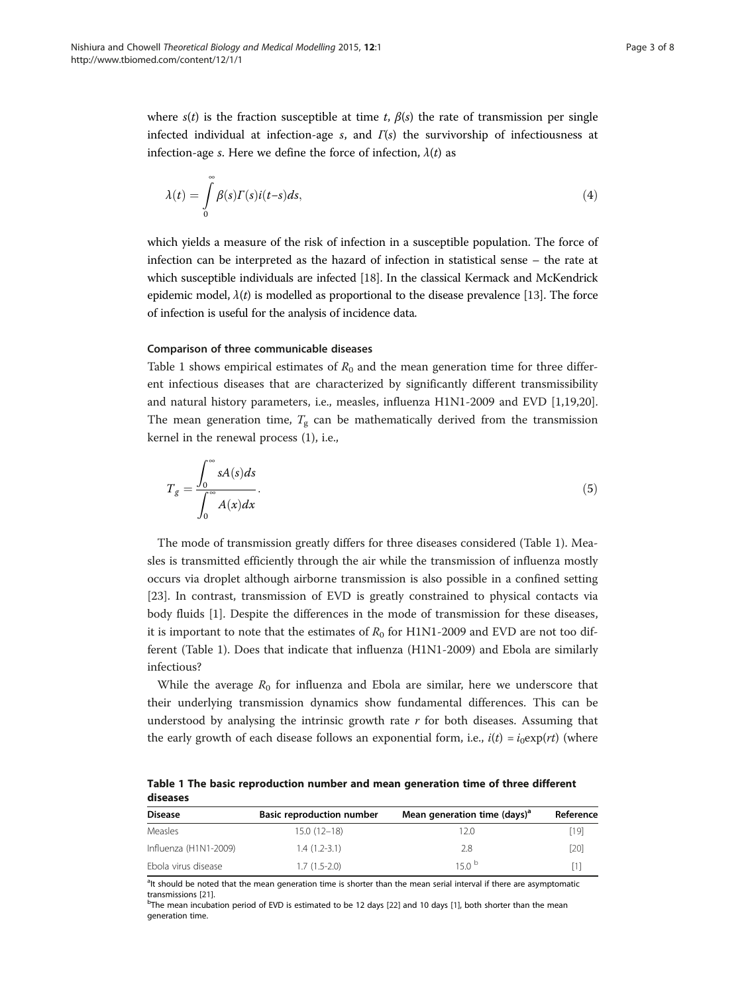<span id="page-2-0"></span>where  $s(t)$  is the fraction susceptible at time t,  $\beta(s)$  the rate of transmission per single infected individual at infection-age s, and  $\Gamma(s)$  the survivorship of infectiousness at infection-age s. Here we define the force of infection,  $\lambda(t)$  as

$$
\lambda(t) = \int_{0}^{\infty} \beta(s) \Gamma(s) i(t-s) ds,
$$
\n(4)

which yields a measure of the risk of infection in a susceptible population. The force of infection can be interpreted as the hazard of infection in statistical sense – the rate at which susceptible individuals are infected [[18](#page-7-0)]. In the classical Kermack and McKendrick epidemic model,  $\lambda(t)$  is modelled as proportional to the disease prevalence [\[13\]](#page-6-0). The force of infection is useful for the analysis of incidence data.

# Comparison of three communicable diseases

Table 1 shows empirical estimates of  $R_0$  and the mean generation time for three different infectious diseases that are characterized by significantly different transmissibility and natural history parameters, i.e., measles, influenza H1N1-2009 and EVD [\[1](#page-6-0),[19](#page-7-0),[20](#page-7-0)]. The mean generation time,  $T_g$  can be mathematically derived from the transmission kernel in the renewal process ([1\)](#page-1-0), i.e.,

$$
T_g = \frac{\int_0^\infty sA(s)ds}{\int_0^\infty A(x)dx}.\tag{5}
$$

The mode of transmission greatly differs for three diseases considered (Table 1). Measles is transmitted efficiently through the air while the transmission of influenza mostly occurs via droplet although airborne transmission is also possible in a confined setting [[23\]](#page-7-0). In contrast, transmission of EVD is greatly constrained to physical contacts via body fluids [\[1\]](#page-6-0). Despite the differences in the mode of transmission for these diseases, it is important to note that the estimates of  $R_0$  for H1N1-2009 and EVD are not too different (Table 1). Does that indicate that influenza (H1N1-2009) and Ebola are similarly infectious?

While the average  $R_0$  for influenza and Ebola are similar, here we underscore that their underlying transmission dynamics show fundamental differences. This can be understood by analysing the intrinsic growth rate  $r$  for both diseases. Assuming that the early growth of each disease follows an exponential form, i.e.,  $i(t) = i_0 \exp(rt)$  (where

Table 1 The basic reproduction number and mean generation time of three different diseases

| <b>Disease</b>        | <b>Basic reproduction number</b> | Mean generation time (days) <sup>a</sup> | Reference |
|-----------------------|----------------------------------|------------------------------------------|-----------|
| Measles               | $15.0(12-18)$                    | 12 O                                     | [19]      |
| Influenza (H1N1-2009) | $1.4(1.2-3.1)$                   | 2.8                                      | $[20]$    |
| Ebola virus disease   | $1.7(1.5-2.0)$                   | $150^{b}$                                |           |

<sup>a</sup>lt should be noted that the mean generation time is shorter than the mean serial interval if there are asymptomatic transmissions [\[21](#page-7-0)].

 $b$ The mean incubation period of EVD is estimated to be 12 days [[22\]](#page-7-0) and [1](#page-6-0)0 days [1], both shorter than the mean generation time.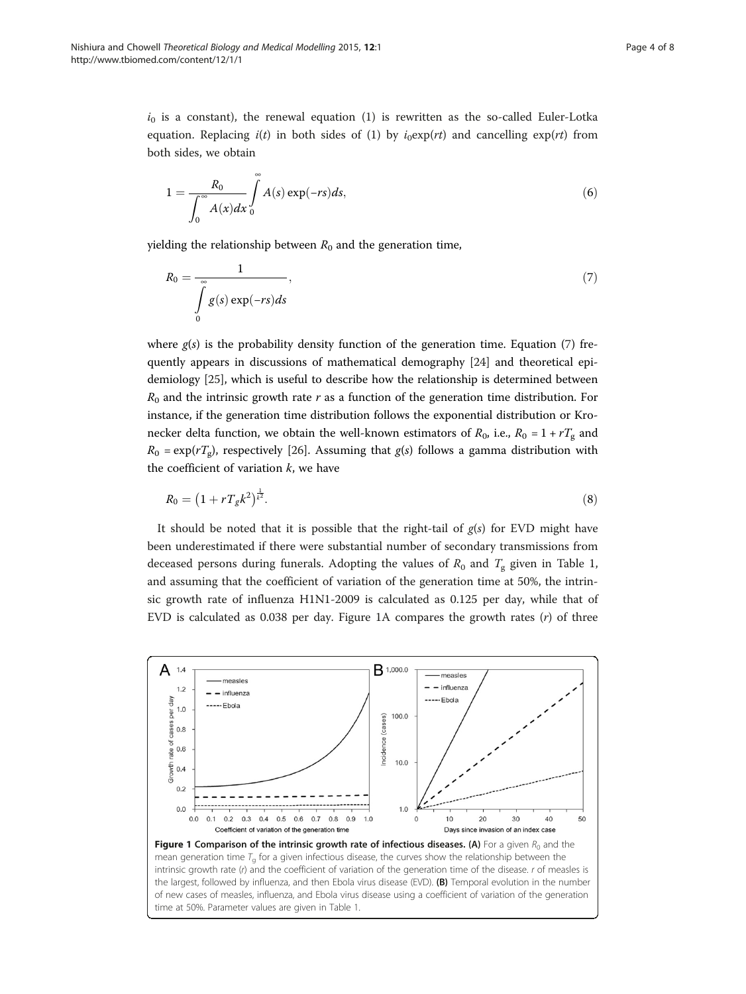$i_0$  is a constant), the renewal equation ([1\)](#page-1-0) is rewritten as the so-called Euler-Lotka equation. Replacing  $i(t)$  in both sides of [\(1\)](#page-1-0) by  $i_0 \exp(rt)$  and cancelling  $\exp(rt)$  from both sides, we obtain

$$
1 = \frac{R_0}{\int_0^\infty A(x)dx} \int_0^\infty A(s) \exp(-rs)ds,
$$
\n(6)

yielding the relationship between  $R_0$  and the generation time,

$$
R_0 = \frac{1}{\int\limits_0^\infty g(s) \exp(-rs) ds},\tag{7}
$$

where  $g(s)$  is the probability density function of the generation time. Equation (7) frequently appears in discussions of mathematical demography [\[24](#page-7-0)] and theoretical epidemiology [\[25\]](#page-7-0), which is useful to describe how the relationship is determined between  $R_0$  and the intrinsic growth rate r as a function of the generation time distribution. For instance, if the generation time distribution follows the exponential distribution or Kronecker delta function, we obtain the well-known estimators of  $R_0$ , i.e.,  $R_0 = 1 + rT_g$  and  $R_0 = \exp(rT_g)$ , respectively [[26\]](#page-7-0). Assuming that  $g(s)$  follows a gamma distribution with the coefficient of variation  $k$ , we have

$$
R_0 = \left(1 + rT_g k^2\right)^{\frac{1}{k^2}}.\tag{8}
$$

It should be noted that it is possible that the right-tail of  $g(s)$  for EVD might have been underestimated if there were substantial number of secondary transmissions from deceased persons during funerals. Adopting the values of  $R_0$  and  $T_g$  given in Table [1](#page-2-0), and assuming that the coefficient of variation of the generation time at 50%, the intrinsic growth rate of influenza H1N1-2009 is calculated as 0.125 per day, while that of EVD is calculated as  $0.038$  per day. Figure 1A compares the growth rates  $(r)$  of three

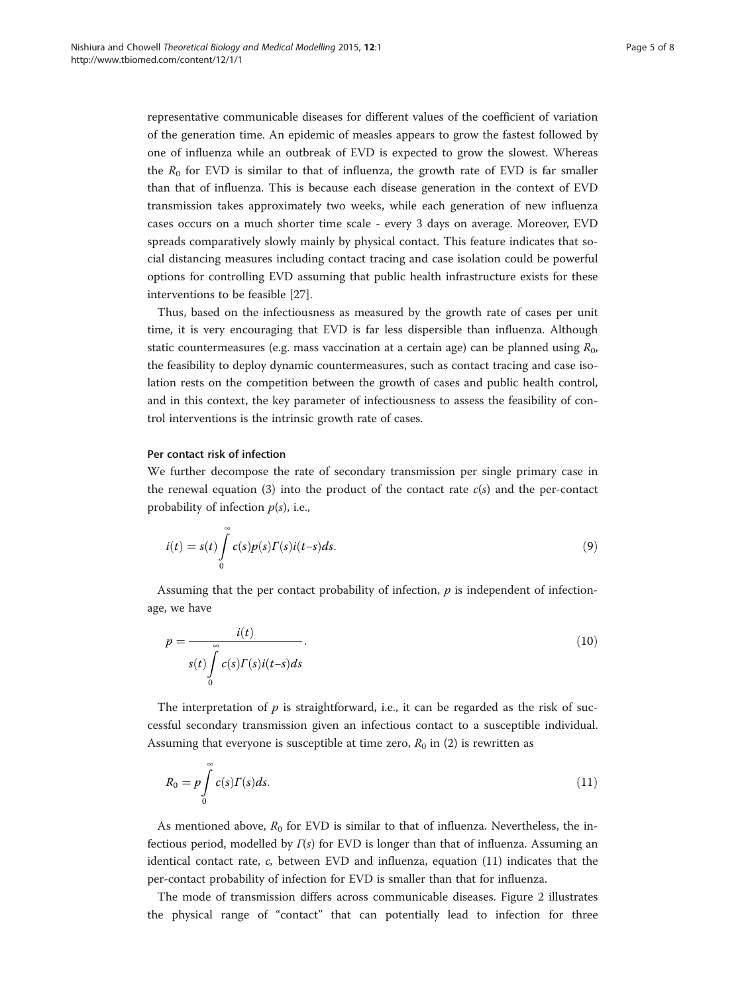representative communicable diseases for different values of the coefficient of variation of the generation time. An epidemic of measles appears to grow the fastest followed by one of influenza while an outbreak of EVD is expected to grow the slowest. Whereas the  $R_0$  for EVD is similar to that of influenza, the growth rate of EVD is far smaller than that of influenza. This is because each disease generation in the context of EVD transmission takes approximately two weeks, while each generation of new influenza cases occurs on a much shorter time scale - every 3 days on average. Moreover, EVD spreads comparatively slowly mainly by physical contact. This feature indicates that social distancing measures including contact tracing and case isolation could be powerful options for controlling EVD assuming that public health infrastructure exists for these interventions to be feasible [\[27](#page-7-0)].

Thus, based on the infectiousness as measured by the growth rate of cases per unit time, it is very encouraging that EVD is far less dispersible than influenza. Although static countermeasures (e.g. mass vaccination at a certain age) can be planned using  $R_0$ , the feasibility to deploy dynamic countermeasures, such as contact tracing and case isolation rests on the competition between the growth of cases and public health control, and in this context, the key parameter of infectiousness to assess the feasibility of control interventions is the intrinsic growth rate of cases.

# Per contact risk of infection

We further decompose the rate of secondary transmission per single primary case in the renewal equation [\(3](#page-1-0)) into the product of the contact rate  $c(s)$  and the per-contact probability of infection  $p(s)$ , i.e.,

$$
i(t) = s(t) \int_{0}^{\infty} c(s)p(s)\Gamma(s)i(t-s)ds.
$$
 (9)

Assuming that the per contact probability of infection,  $p$  is independent of infectionage, we have

$$
p = \frac{i(t)}{s(t)\int\limits_{0}^{\infty} c(s)\Gamma(s)i(t-s)ds}.
$$
\n(10)

The interpretation of  $p$  is straightforward, i.e., it can be regarded as the risk of successful secondary transmission given an infectious contact to a susceptible individual. Assuming that everyone is susceptible at time zero,  $R_0$  in ([2](#page-1-0)) is rewritten as

$$
R_0 = p \int\limits_0^\infty c(s) \Gamma(s) ds. \tag{11}
$$

As mentioned above,  $R_0$  for EVD is similar to that of influenza. Nevertheless, the infectious period, modelled by  $\Gamma(s)$  for EVD is longer than that of influenza. Assuming an identical contact rate, c, between EVD and influenza, equation (11) indicates that the per-contact probability of infection for EVD is smaller than that for influenza.

The mode of transmission differs across communicable diseases. Figure [2](#page-5-0) illustrates the physical range of "contact" that can potentially lead to infection for three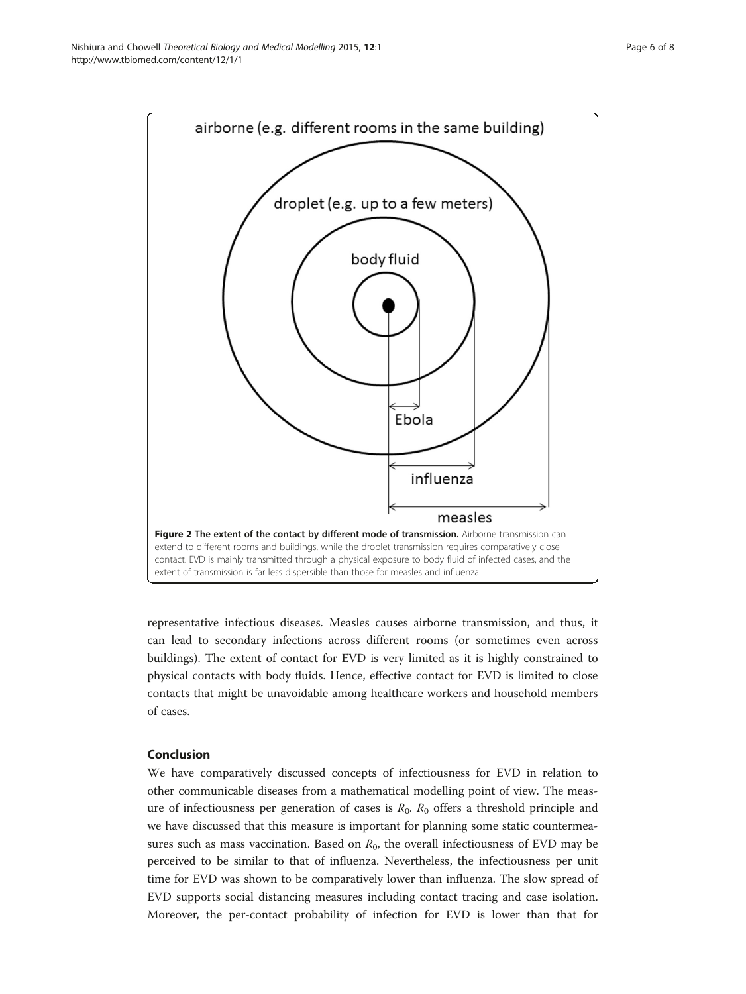<span id="page-5-0"></span>

representative infectious diseases. Measles causes airborne transmission, and thus, it can lead to secondary infections across different rooms (or sometimes even across buildings). The extent of contact for EVD is very limited as it is highly constrained to physical contacts with body fluids. Hence, effective contact for EVD is limited to close contacts that might be unavoidable among healthcare workers and household members of cases.

# Conclusion

We have comparatively discussed concepts of infectiousness for EVD in relation to other communicable diseases from a mathematical modelling point of view. The measure of infectiousness per generation of cases is  $R_0$ .  $R_0$  offers a threshold principle and we have discussed that this measure is important for planning some static countermeasures such as mass vaccination. Based on  $R<sub>0</sub>$ , the overall infectiousness of EVD may be perceived to be similar to that of influenza. Nevertheless, the infectiousness per unit time for EVD was shown to be comparatively lower than influenza. The slow spread of EVD supports social distancing measures including contact tracing and case isolation. Moreover, the per-contact probability of infection for EVD is lower than that for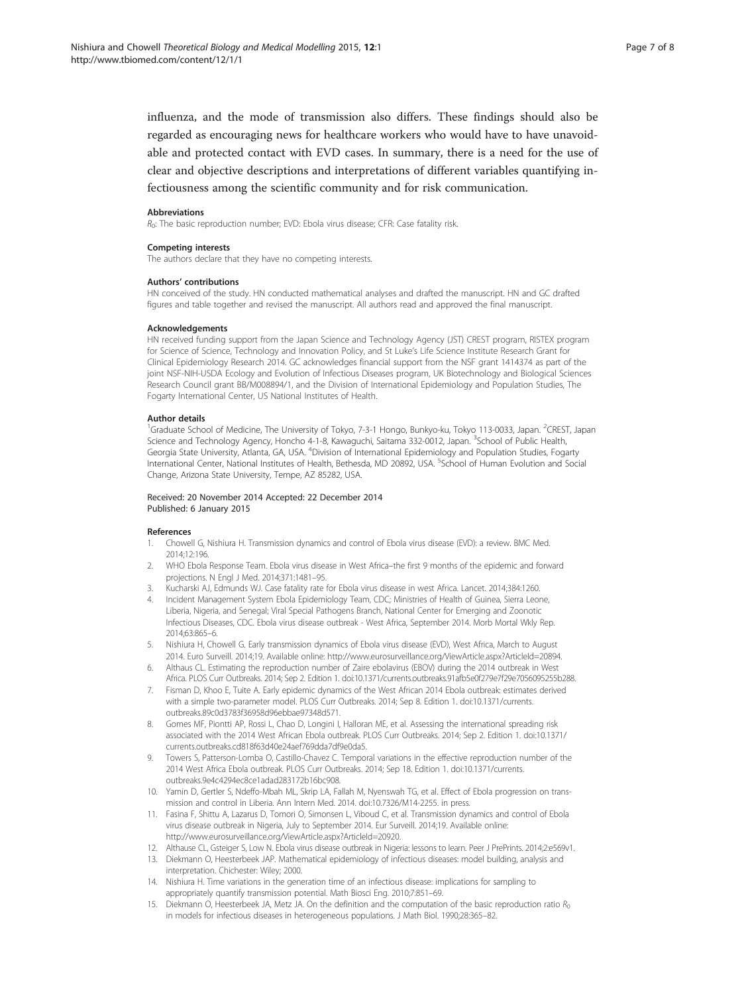<span id="page-6-0"></span>influenza, and the mode of transmission also differs. These findings should also be regarded as encouraging news for healthcare workers who would have to have unavoidable and protected contact with EVD cases. In summary, there is a need for the use of clear and objective descriptions and interpretations of different variables quantifying infectiousness among the scientific community and for risk communication.

#### Abbreviations

 $R_0$ : The basic reproduction number; EVD: Ebola virus disease; CFR: Case fatality risk.

#### Competing interests

The authors declare that they have no competing interests.

#### Authors' contributions

HN conceived of the study. HN conducted mathematical analyses and drafted the manuscript. HN and GC drafted figures and table together and revised the manuscript. All authors read and approved the final manuscript.

#### Acknowledgements

HN received funding support from the Japan Science and Technology Agency (JST) CREST program, RISTEX program for Science of Science, Technology and Innovation Policy, and St Luke's Life Science Institute Research Grant for Clinical Epidemiology Research 2014. GC acknowledges financial support from the NSF grant 1414374 as part of the joint NSF-NIH-USDA Ecology and Evolution of Infectious Diseases program, UK Biotechnology and Biological Sciences Research Council grant BB/M008894/1, and the Division of International Epidemiology and Population Studies, The Fogarty International Center, US National Institutes of Health.

#### Author details

<sup>1</sup>Graduate School of Medicine, The University of Tokyo, 7-3-1 Hongo, Bunkyo-ku, Tokyo 113-0033, Japan. <sup>2</sup>CREST, Japan Science and Technology Agency, Honcho 4-1-8, Kawaguchi, Saitama 332-0012, Japan. <sup>3</sup>School of Public Health Georgia State University, Atlanta, GA, USA. <sup>4</sup>Division of International Epidemiology and Population Studies, Fogarty International Center, National Institutes of Health, Bethesda, MD 20892, USA. <sup>5</sup>School of Human Evolution and Social Change, Arizona State University, Tempe, AZ 85282, USA.

### Received: 20 November 2014 Accepted: 22 December 2014 Published: 6 January 2015

#### References

- 1. Chowell G, Nishiura H. Transmission dynamics and control of Ebola virus disease (EVD): a review. BMC Med. 2014;12:196.
- 2. WHO Ebola Response Team. Ebola virus disease in West Africa–the first 9 months of the epidemic and forward projections. N Engl J Med. 2014;371:1481–95.
- 3. Kucharski AJ, Edmunds WJ. Case fatality rate for Ebola virus disease in west Africa. Lancet. 2014;384:1260.
- 4. Incident Management System Ebola Epidemiology Team, CDC; Ministries of Health of Guinea, Sierra Leone, Liberia, Nigeria, and Senegal; Viral Special Pathogens Branch, National Center for Emerging and Zoonotic Infectious Diseases, CDC. Ebola virus disease outbreak - West Africa, September 2014. Morb Mortal Wkly Rep. 2014;63:865–6.
- 5. Nishiura H, Chowell G. Early transmission dynamics of Ebola virus disease (EVD), West Africa, March to August 2014. Euro Surveill. 2014;19. Available online: [http://www.eurosurveillance.org/ViewArticle.aspx?ArticleId=20894.](http://www.eurosurveillance.org/ViewArticle.aspx?ArticleId=20894)
- 6. Althaus CL. Estimating the reproduction number of Zaire ebolavirus (EBOV) during the 2014 outbreak in West Africa. PLOS Curr Outbreaks. 2014; Sep 2. Edition 1. doi:10.1371/currents.outbreaks.91afb5e0f279e7f29e7056095255b288.
- 7. Fisman D, Khoo E, Tuite A. Early epidemic dynamics of the West African 2014 Ebola outbreak: estimates derived with a simple two-parameter model. PLOS Curr Outbreaks. 2014; Sep 8. Edition 1. doi:10.1371/currents. outbreaks.89c0d3783f36958d96ebbae97348d571.
- 8. Gomes MF, Piontti AP, Rossi L, Chao D, Longini I, Halloran ME, et al. Assessing the international spreading risk associated with the 2014 West African Ebola outbreak. PLOS Curr Outbreaks. 2014; Sep 2. Edition 1. doi:10.1371/ currents.outbreaks.cd818f63d40e24aef769dda7df9e0da5.
- 9. Towers S, Patterson-Lomba O, Castillo-Chavez C. Temporal variations in the effective reproduction number of the 2014 West Africa Ebola outbreak. PLOS Curr Outbreaks. 2014; Sep 18. Edition 1. doi:10.1371/currents. outbreaks.9e4c4294ec8ce1adad283172b16bc908.
- 10. Yamin D, Gertler S, Ndeffo-Mbah ML, Skrip LA, Fallah M, Nyenswah TG, et al. Effect of Ebola progression on transmission and control in Liberia. Ann Intern Med. 2014. doi:10.7326/M14-2255. in press.
- 11. Fasina F, Shittu A, Lazarus D, Tomori O, Simonsen L, Viboud C, et al. Transmission dynamics and control of Ebola virus disease outbreak in Nigeria, July to September 2014. Eur Surveill. 2014;19. Available online: [http://www.eurosurveillance.org/ViewArticle.aspx?ArticleId=20920.](http://www.eurosurveillance.org/ViewArticle.aspx?ArticleId=20920)
- 12. Althause CL, Gsteiger S, Low N. Ebola virus disease outbreak in Nigeria: lessons to learn. Peer J PrePrints. 2014;2:e569v1.
- 13. Diekmann O, Heesterbeek JAP. Mathematical epidemiology of infectious diseases: model building, analysis and interpretation. Chichester: Wiley; 2000.
- 14. Nishiura H. Time variations in the generation time of an infectious disease: implications for sampling to appropriately quantify transmission potential. Math Biosci Eng. 2010;7:851–69.
- 15. Diekmann O, Heesterbeek JA, Metz JA. On the definition and the computation of the basic reproduction ratio  $R_0$ in models for infectious diseases in heterogeneous populations. J Math Biol. 1990;28:365–82.